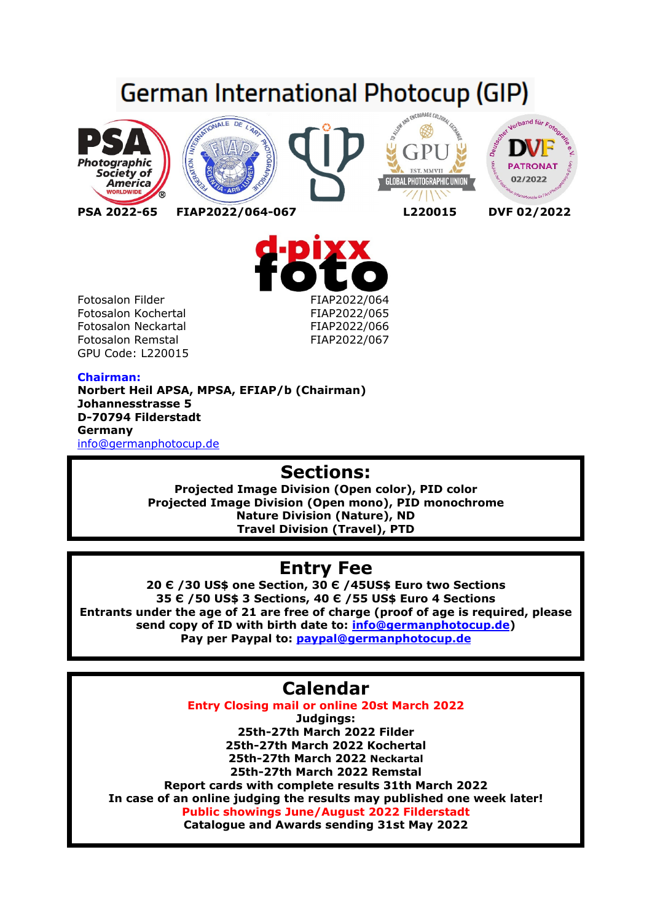# German International Photocup (GIP)











## **Chairman:**

**Norbert Heil APSA, MPSA, EFIAP/b (Chairman) Johannesstrasse 5 D-70794 Filderstadt Germany**  info@germanphotocup.de

# **Sections:**

**Projected Image Division (Open color), PID color Projected Image Division (Open mono), PID monochrome Nature Division (Nature), ND Travel Division (Travel), PTD** 

# **Entry Fee**

**20 Є /30 US\$ one Section, 30 Є /45US\$ Euro two Sections 35 Є /50 US\$ 3 Sections, 40 Є /55 US\$ Euro 4 Sections Entrants under the age of 21 are free of charge (proof of age is required, please send copy of ID with birth date to: info@germanphotocup.de) Pay per Paypal to: paypal@germanphotocup.de** 

# **Calendar**

**Entry Closing mail or online 20st March 2022 Judgings: 25th-27th March 2022 Filder 25th-27th March 2022 Kochertal 25th-27th March 2022 Neckartal 25th-27th March 2022 Remstal Report cards with complete results 31th March 2022 In case of an online judging the results may published one week later! Public showings June/August 2022 Filderstadt Catalogue and Awards sending 31st May 2022**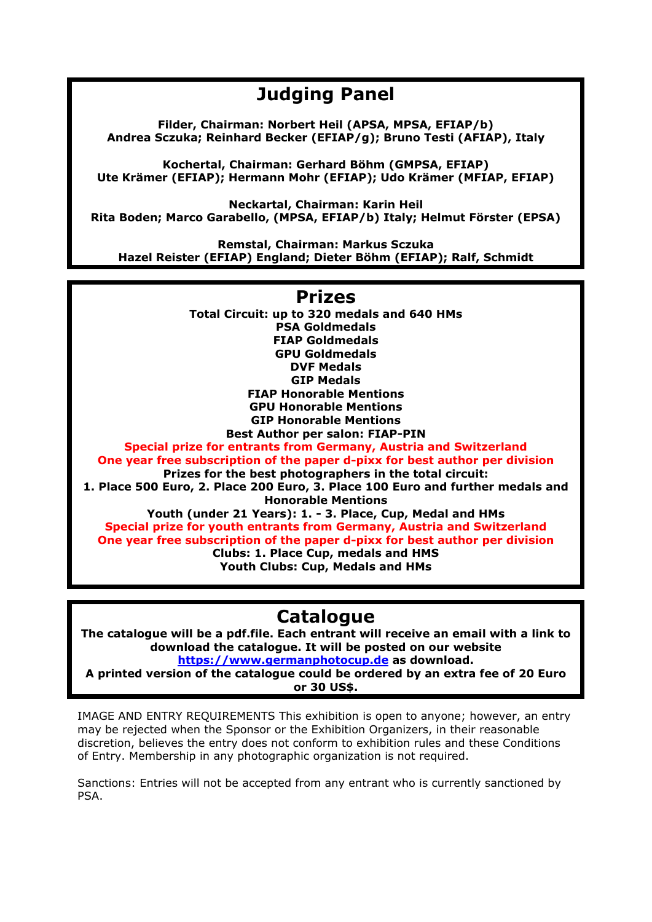# **Judging Panel**

**Filder, Chairman: Norbert Heil (APSA, MPSA, EFIAP/b) Andrea Sczuka; Reinhard Becker (EFIAP/g); Bruno Testi (AFIAP), Italy** 

**Kochertal, Chairman: Gerhard Böhm (GMPSA, EFIAP) Ute Krämer (EFIAP); Hermann Mohr (EFIAP); Udo Krämer (MFIAP, EFIAP)** 

**Neckartal, Chairman: Karin Heil Rita Boden; Marco Garabello, (MPSA, EFIAP/b) Italy; Helmut Förster (EPSA)** 

**Remstal, Chairman: Markus Sczuka Hazel Reister (EFIAP) England; Dieter Böhm (EFIAP); Ralf, Schmidt** 

# **Prizes**

**Total Circuit: up to 320 medals and 640 HMs PSA Goldmedals FIAP Goldmedals GPU Goldmedals DVF Medals GIP Medals FIAP Honorable Mentions GPU Honorable Mentions GIP Honorable Mentions Best Author per salon: FIAP-PIN** 

**Special prize for entrants from Germany, Austria and Switzerland One year free subscription of the paper d-pixx for best author per division Prizes for the best photographers in the total circuit:** 

**1. Place 500 Euro, 2. Place 200 Euro, 3. Place 100 Euro and further medals and Honorable Mentions** 

**Youth (under 21 Years): 1. - 3. Place, Cup, Medal and HMs Special prize for youth entrants from Germany, Austria and Switzerland One year free subscription of the paper d-pixx for best author per division Clubs: 1. Place Cup, medals and HMS** 

**Youth Clubs: Cup, Medals and HMs** 

# **Catalogue**

**The catalogue will be a pdf.file. Each entrant will receive an email with a link to download the catalogue. It will be posted on our website https://www.germanphotocup.de as download.** 

**A printed version of the catalogue could be ordered by an extra fee of 20 Euro or 30 US\$.** 

IMAGE AND ENTRY REQUIREMENTS This exhibition is open to anyone; however, an entry may be rejected when the Sponsor or the Exhibition Organizers, in their reasonable discretion, believes the entry does not conform to exhibition rules and these Conditions of Entry. Membership in any photographic organization is not required.

Sanctions: Entries will not be accepted from any entrant who is currently sanctioned by PSA.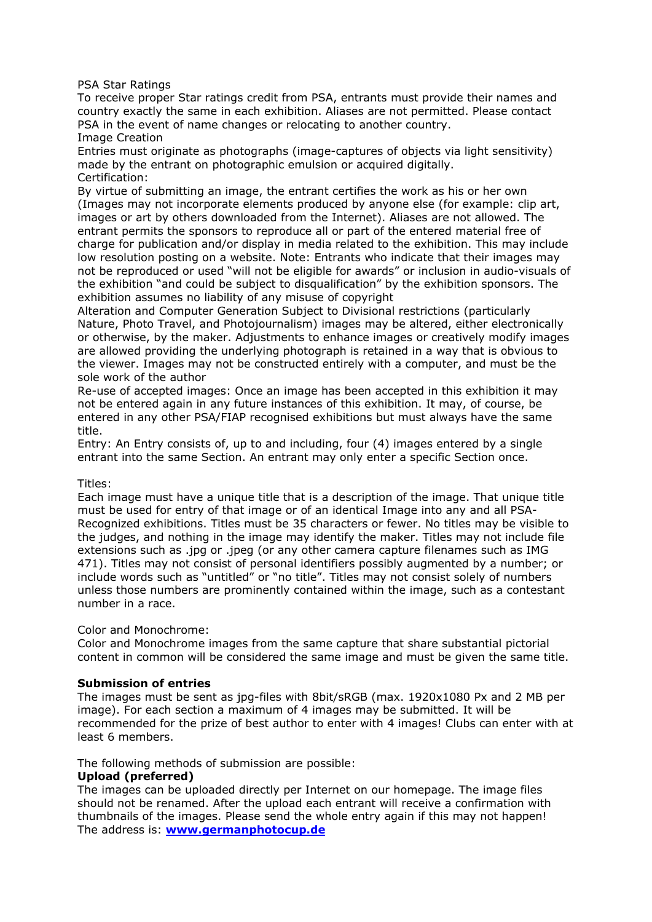PSA Star Ratings

To receive proper Star ratings credit from PSA, entrants must provide their names and country exactly the same in each exhibition. Aliases are not permitted. Please contact PSA in the event of name changes or relocating to another country. Image Creation

Entries must originate as photographs (image-captures of objects via light sensitivity) made by the entrant on photographic emulsion or acquired digitally. Certification:

By virtue of submitting an image, the entrant certifies the work as his or her own (Images may not incorporate elements produced by anyone else (for example: clip art, images or art by others downloaded from the Internet). Aliases are not allowed. The entrant permits the sponsors to reproduce all or part of the entered material free of charge for publication and/or display in media related to the exhibition. This may include low resolution posting on a website. Note: Entrants who indicate that their images may not be reproduced or used "will not be eligible for awards" or inclusion in audio-visuals of the exhibition "and could be subject to disqualification" by the exhibition sponsors. The exhibition assumes no liability of any misuse of copyright

Alteration and Computer Generation Subject to Divisional restrictions (particularly Nature, Photo Travel, and Photojournalism) images may be altered, either electronically or otherwise, by the maker. Adjustments to enhance images or creatively modify images are allowed providing the underlying photograph is retained in a way that is obvious to the viewer. Images may not be constructed entirely with a computer, and must be the sole work of the author

Re-use of accepted images: Once an image has been accepted in this exhibition it may not be entered again in any future instances of this exhibition. It may, of course, be entered in any other PSA/FIAP recognised exhibitions but must always have the same title.

Entry: An Entry consists of, up to and including, four (4) images entered by a single entrant into the same Section. An entrant may only enter a specific Section once.

#### Titles:

Each image must have a unique title that is a description of the image. That unique title must be used for entry of that image or of an identical Image into any and all PSA-Recognized exhibitions. Titles must be 35 characters or fewer. No titles may be visible to the judges, and nothing in the image may identify the maker. Titles may not include file extensions such as .jpg or .jpeg (or any other camera capture filenames such as IMG 471). Titles may not consist of personal identifiers possibly augmented by a number; or include words such as "untitled" or "no title". Titles may not consist solely of numbers unless those numbers are prominently contained within the image, such as a contestant number in a race.

Color and Monochrome:

Color and Monochrome images from the same capture that share substantial pictorial content in common will be considered the same image and must be given the same title.

#### **Submission of entries**

The images must be sent as jpg-files with 8bit/sRGB (max. 1920x1080 Px and 2 MB per image). For each section a maximum of 4 images may be submitted. It will be recommended for the prize of best author to enter with 4 images! Clubs can enter with at least 6 members.

The following methods of submission are possible:

#### **Upload (preferred)**

The images can be uploaded directly per Internet on our homepage. The image files should not be renamed. After the upload each entrant will receive a confirmation with thumbnails of the images. Please send the whole entry again if this may not happen! The address is: **www.germanphotocup.de**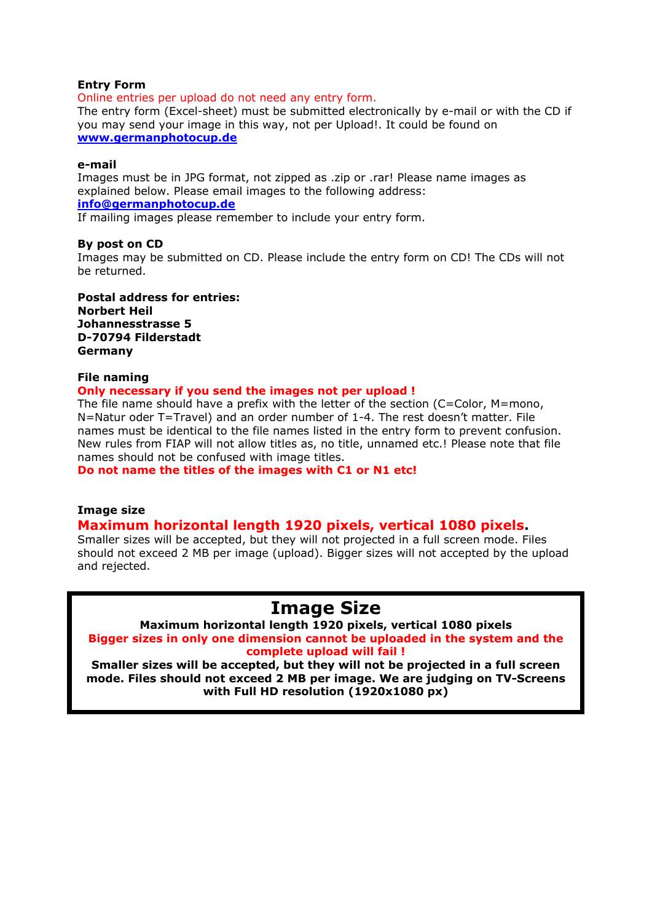#### **Entry Form**

Online entries per upload do not need any entry form.

The entry form (Excel-sheet) must be submitted electronically by e-mail or with the CD if you may send your image in this way, not per Upload!. It could be found on **www.germanphotocup.de**

#### **e-mail**

Images must be in JPG format, not zipped as .zip or .rar! Please name images as explained below. Please email images to the following address: **info@germanphotocup.de**

If mailing images please remember to include your entry form.

#### **By post on CD**

Images may be submitted on CD. Please include the entry form on CD! The CDs will not be returned.

**Postal address for entries: Norbert Heil Johannesstrasse 5 D-70794 Filderstadt Germany**

#### **File naming**

#### **Only necessary if you send the images not per upload !**

The file name should have a prefix with the letter of the section (C=Color, M=mono, N=Natur oder T=Travel) and an order number of 1-4. The rest doesn't matter. File names must be identical to the file names listed in the entry form to prevent confusion. New rules from FIAP will not allow titles as, no title, unnamed etc.! Please note that file names should not be confused with image titles.

**Do not name the titles of the images with C1 or N1 etc!** 

#### **Image size**

### **Maximum horizontal length 1920 pixels, vertical 1080 pixels.**

Smaller sizes will be accepted, but they will not projected in a full screen mode. Files should not exceed 2 MB per image (upload). Bigger sizes will not accepted by the upload and rejected.

# **Image Size**

**Maximum horizontal length 1920 pixels, vertical 1080 pixels Bigger sizes in only one dimension cannot be uploaded in the system and the complete upload will fail !** 

**Smaller sizes will be accepted, but they will not be projected in a full screen mode. Files should not exceed 2 MB per image. We are judging on TV-Screens with Full HD resolution (1920x1080 px)**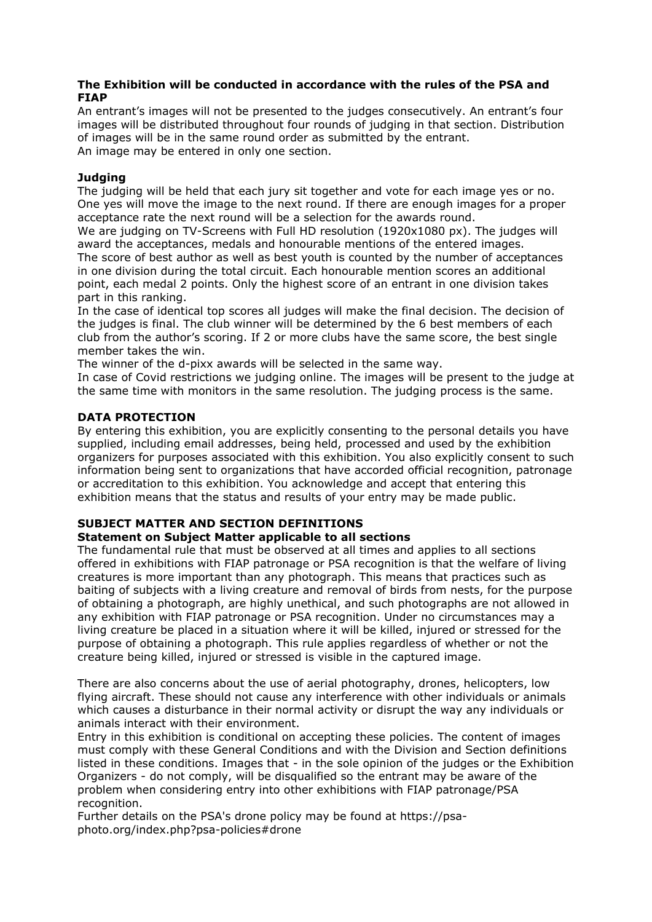### **The Exhibition will be conducted in accordance with the rules of the PSA and FIAP**

An entrant's images will not be presented to the judges consecutively. An entrant's four images will be distributed throughout four rounds of judging in that section. Distribution of images will be in the same round order as submitted by the entrant. An image may be entered in only one section.

### **Judging**

The judging will be held that each jury sit together and vote for each image yes or no. One yes will move the image to the next round. If there are enough images for a proper acceptance rate the next round will be a selection for the awards round.

We are judging on TV-Screens with Full HD resolution (1920x1080 px). The judges will award the acceptances, medals and honourable mentions of the entered images.

The score of best author as well as best youth is counted by the number of acceptances in one division during the total circuit. Each honourable mention scores an additional point, each medal 2 points. Only the highest score of an entrant in one division takes part in this ranking.

In the case of identical top scores all judges will make the final decision. The decision of the judges is final. The club winner will be determined by the 6 best members of each club from the author's scoring. If 2 or more clubs have the same score, the best single member takes the win.

The winner of the d-pixx awards will be selected in the same way.

In case of Covid restrictions we judging online. The images will be present to the judge at the same time with monitors in the same resolution. The judging process is the same.

## **DATA PROTECTION**

By entering this exhibition, you are explicitly consenting to the personal details you have supplied, including email addresses, being held, processed and used by the exhibition organizers for purposes associated with this exhibition. You also explicitly consent to such information being sent to organizations that have accorded official recognition, patronage or accreditation to this exhibition. You acknowledge and accept that entering this exhibition means that the status and results of your entry may be made public.

#### **SUBJECT MATTER AND SECTION DEFINITIONS Statement on Subject Matter applicable to all sections**

The fundamental rule that must be observed at all times and applies to all sections offered in exhibitions with FIAP patronage or PSA recognition is that the welfare of living creatures is more important than any photograph. This means that practices such as baiting of subjects with a living creature and removal of birds from nests, for the purpose of obtaining a photograph, are highly unethical, and such photographs are not allowed in any exhibition with FIAP patronage or PSA recognition. Under no circumstances may a living creature be placed in a situation where it will be killed, injured or stressed for the purpose of obtaining a photograph. This rule applies regardless of whether or not the creature being killed, injured or stressed is visible in the captured image.

There are also concerns about the use of aerial photography, drones, helicopters, low flying aircraft. These should not cause any interference with other individuals or animals which causes a disturbance in their normal activity or disrupt the way any individuals or animals interact with their environment.

Entry in this exhibition is conditional on accepting these policies. The content of images must comply with these General Conditions and with the Division and Section definitions listed in these conditions. Images that - in the sole opinion of the judges or the Exhibition Organizers - do not comply, will be disqualified so the entrant may be aware of the problem when considering entry into other exhibitions with FIAP patronage/PSA recognition.

Further details on the PSA's drone policy may be found at https://psaphoto.org/index.php?psa-policies#drone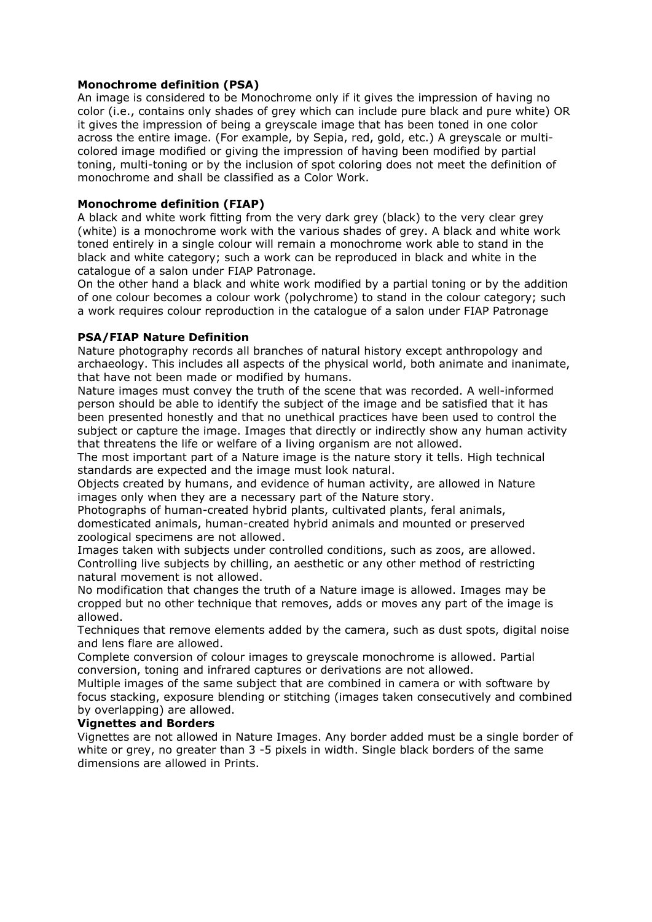### **Monochrome definition (PSA)**

An image is considered to be Monochrome only if it gives the impression of having no color (i.e., contains only shades of grey which can include pure black and pure white) OR it gives the impression of being a greyscale image that has been toned in one color across the entire image. (For example, by Sepia, red, gold, etc.) A greyscale or multicolored image modified or giving the impression of having been modified by partial toning, multi-toning or by the inclusion of spot coloring does not meet the definition of monochrome and shall be classified as a Color Work.

#### **Monochrome definition (FIAP)**

A black and white work fitting from the very dark grey (black) to the very clear grey (white) is a monochrome work with the various shades of grey. A black and white work toned entirely in a single colour will remain a monochrome work able to stand in the black and white category; such a work can be reproduced in black and white in the catalogue of a salon under FIAP Patronage.

On the other hand a black and white work modified by a partial toning or by the addition of one colour becomes a colour work (polychrome) to stand in the colour category; such a work requires colour reproduction in the catalogue of a salon under FIAP Patronage

### **PSA/FIAP Nature Definition**

Nature photography records all branches of natural history except anthropology and archaeology. This includes all aspects of the physical world, both animate and inanimate, that have not been made or modified by humans.

Nature images must convey the truth of the scene that was recorded. A well-informed person should be able to identify the subject of the image and be satisfied that it has been presented honestly and that no unethical practices have been used to control the subject or capture the image. Images that directly or indirectly show any human activity that threatens the life or welfare of a living organism are not allowed.

The most important part of a Nature image is the nature story it tells. High technical standards are expected and the image must look natural.

Objects created by humans, and evidence of human activity, are allowed in Nature images only when they are a necessary part of the Nature story.

Photographs of human-created hybrid plants, cultivated plants, feral animals, domesticated animals, human-created hybrid animals and mounted or preserved zoological specimens are not allowed.

Images taken with subjects under controlled conditions, such as zoos, are allowed. Controlling live subjects by chilling, an aesthetic or any other method of restricting natural movement is not allowed.

No modification that changes the truth of a Nature image is allowed. Images may be cropped but no other technique that removes, adds or moves any part of the image is allowed.

Techniques that remove elements added by the camera, such as dust spots, digital noise and lens flare are allowed.

Complete conversion of colour images to greyscale monochrome is allowed. Partial conversion, toning and infrared captures or derivations are not allowed.

Multiple images of the same subject that are combined in camera or with software by focus stacking, exposure blending or stitching (images taken consecutively and combined by overlapping) are allowed.

#### **Vignettes and Borders**

Vignettes are not allowed in Nature Images. Any border added must be a single border of white or grey, no greater than 3 -5 pixels in width. Single black borders of the same dimensions are allowed in Prints.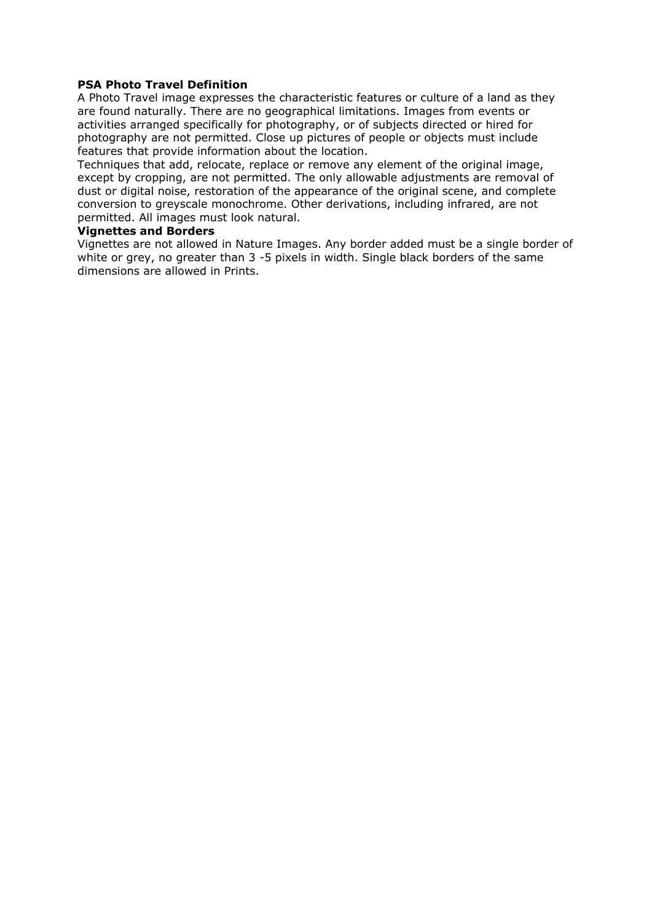### **PSA Photo Travel Definition**

A Photo Travel image expresses the characteristic features or culture of a land as they are found naturally. There are no geographical limitations. Images from events or activities arranged specifically for photography, or of subjects directed or hired for photography are not permitted. Close up pictures of people or objects must include features that provide information about the location.

Techniques that add, relocate, replace or remove any element of the original image, except by cropping, are not permitted. The only allowable adjustments are removal of dust or digital noise, restoration of the appearance of the original scene, and complete conversion to greyscale monochrome. Other derivations, including infrared, are not permitted. All images must look natural.

#### **Vignettes and Borders**

Vignettes are not allowed in Nature Images. Any border added must be a single border of white or grey, no greater than 3 -5 pixels in width. Single black borders of the same dimensions are allowed in Prints.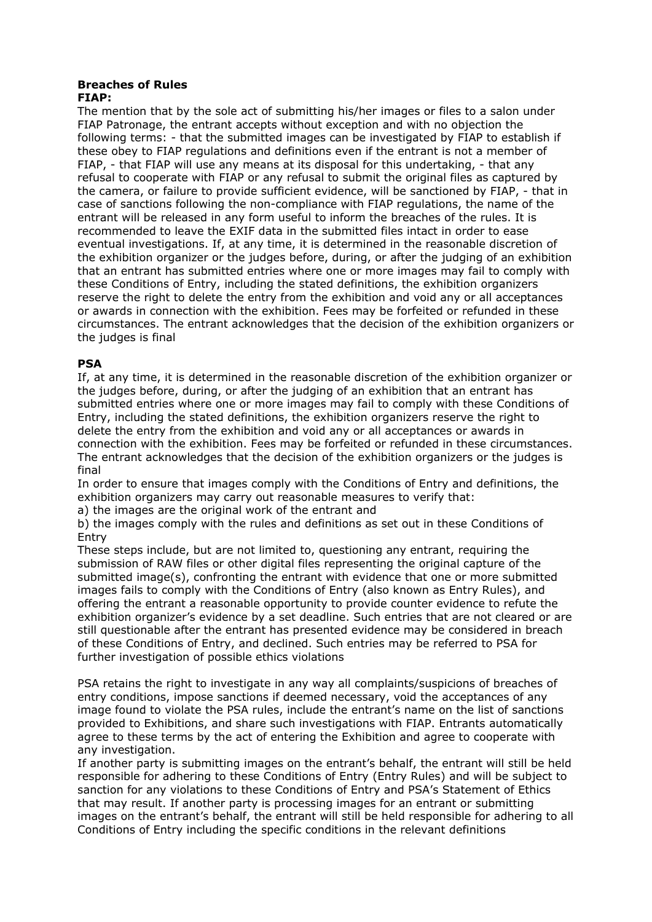#### **Breaches of Rules FIAP:**

The mention that by the sole act of submitting his/her images or files to a salon under FIAP Patronage, the entrant accepts without exception and with no objection the following terms: - that the submitted images can be investigated by FIAP to establish if these obey to FIAP regulations and definitions even if the entrant is not a member of FIAP, - that FIAP will use any means at its disposal for this undertaking, - that any refusal to cooperate with FIAP or any refusal to submit the original files as captured by the camera, or failure to provide sufficient evidence, will be sanctioned by FIAP, - that in case of sanctions following the non-compliance with FIAP regulations, the name of the entrant will be released in any form useful to inform the breaches of the rules. It is recommended to leave the EXIF data in the submitted files intact in order to ease eventual investigations. If, at any time, it is determined in the reasonable discretion of the exhibition organizer or the judges before, during, or after the judging of an exhibition that an entrant has submitted entries where one or more images may fail to comply with these Conditions of Entry, including the stated definitions, the exhibition organizers reserve the right to delete the entry from the exhibition and void any or all acceptances or awards in connection with the exhibition. Fees may be forfeited or refunded in these circumstances. The entrant acknowledges that the decision of the exhibition organizers or the judges is final

# **PSA**

If, at any time, it is determined in the reasonable discretion of the exhibition organizer or the judges before, during, or after the judging of an exhibition that an entrant has submitted entries where one or more images may fail to comply with these Conditions of Entry, including the stated definitions, the exhibition organizers reserve the right to delete the entry from the exhibition and void any or all acceptances or awards in connection with the exhibition. Fees may be forfeited or refunded in these circumstances. The entrant acknowledges that the decision of the exhibition organizers or the judges is final

In order to ensure that images comply with the Conditions of Entry and definitions, the exhibition organizers may carry out reasonable measures to verify that:

a) the images are the original work of the entrant and

b) the images comply with the rules and definitions as set out in these Conditions of Entry

These steps include, but are not limited to, questioning any entrant, requiring the submission of RAW files or other digital files representing the original capture of the submitted image(s), confronting the entrant with evidence that one or more submitted images fails to comply with the Conditions of Entry (also known as Entry Rules), and offering the entrant a reasonable opportunity to provide counter evidence to refute the exhibition organizer's evidence by a set deadline. Such entries that are not cleared or are still questionable after the entrant has presented evidence may be considered in breach of these Conditions of Entry, and declined. Such entries may be referred to PSA for further investigation of possible ethics violations

PSA retains the right to investigate in any way all complaints/suspicions of breaches of entry conditions, impose sanctions if deemed necessary, void the acceptances of any image found to violate the PSA rules, include the entrant's name on the list of sanctions provided to Exhibitions, and share such investigations with FIAP. Entrants automatically agree to these terms by the act of entering the Exhibition and agree to cooperate with any investigation.

If another party is submitting images on the entrant's behalf, the entrant will still be held responsible for adhering to these Conditions of Entry (Entry Rules) and will be subject to sanction for any violations to these Conditions of Entry and PSA's Statement of Ethics that may result. If another party is processing images for an entrant or submitting images on the entrant's behalf, the entrant will still be held responsible for adhering to all Conditions of Entry including the specific conditions in the relevant definitions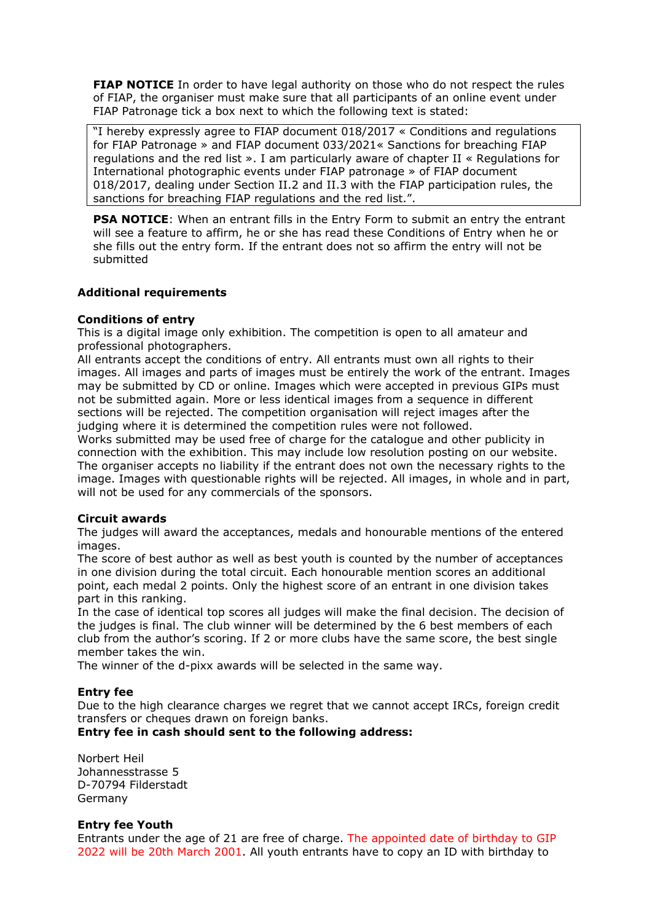**FIAP NOTICE** In order to have legal authority on those who do not respect the rules of FIAP, the organiser must make sure that all participants of an online event under FIAP Patronage tick a box next to which the following text is stated:

"I hereby expressly agree to FIAP document 018/2017 « Conditions and regulations for FIAP Patronage » and FIAP document 033/2021« Sanctions for breaching FIAP regulations and the red list ». I am particularly aware of chapter II « Regulations for International photographic events under FIAP patronage » of FIAP document 018/2017, dealing under Section II.2 and II.3 with the FIAP participation rules, the sanctions for breaching FIAP regulations and the red list.".

**PSA NOTICE:** When an entrant fills in the Entry Form to submit an entry the entrant will see a feature to affirm, he or she has read these Conditions of Entry when he or she fills out the entry form. If the entrant does not so affirm the entry will not be submitted

## **Additional requirements**

#### **Conditions of entry**

This is a digital image only exhibition. The competition is open to all amateur and professional photographers.

All entrants accept the conditions of entry. All entrants must own all rights to their images. All images and parts of images must be entirely the work of the entrant. Images may be submitted by CD or online. Images which were accepted in previous GIPs must not be submitted again. More or less identical images from a sequence in different sections will be rejected. The competition organisation will reject images after the judging where it is determined the competition rules were not followed.

Works submitted may be used free of charge for the catalogue and other publicity in connection with the exhibition. This may include low resolution posting on our website. The organiser accepts no liability if the entrant does not own the necessary rights to the image. Images with questionable rights will be rejected. All images, in whole and in part, will not be used for any commercials of the sponsors.

#### **Circuit awards**

The judges will award the acceptances, medals and honourable mentions of the entered images.

The score of best author as well as best youth is counted by the number of acceptances in one division during the total circuit. Each honourable mention scores an additional point, each medal 2 points. Only the highest score of an entrant in one division takes part in this ranking.

In the case of identical top scores all judges will make the final decision. The decision of the judges is final. The club winner will be determined by the 6 best members of each club from the author's scoring. If 2 or more clubs have the same score, the best single member takes the win.

The winner of the d-pixx awards will be selected in the same way.

#### **Entry fee**

Due to the high clearance charges we regret that we cannot accept IRCs, foreign credit transfers or cheques drawn on foreign banks.

### **Entry fee in cash should sent to the following address:**

Norbert Heil Johannesstrasse 5 D-70794 Filderstadt Germany

#### **Entry fee Youth**

Entrants under the age of 21 are free of charge. The appointed date of birthday to GIP 2022 will be 20th March 2001. All youth entrants have to copy an ID with birthday to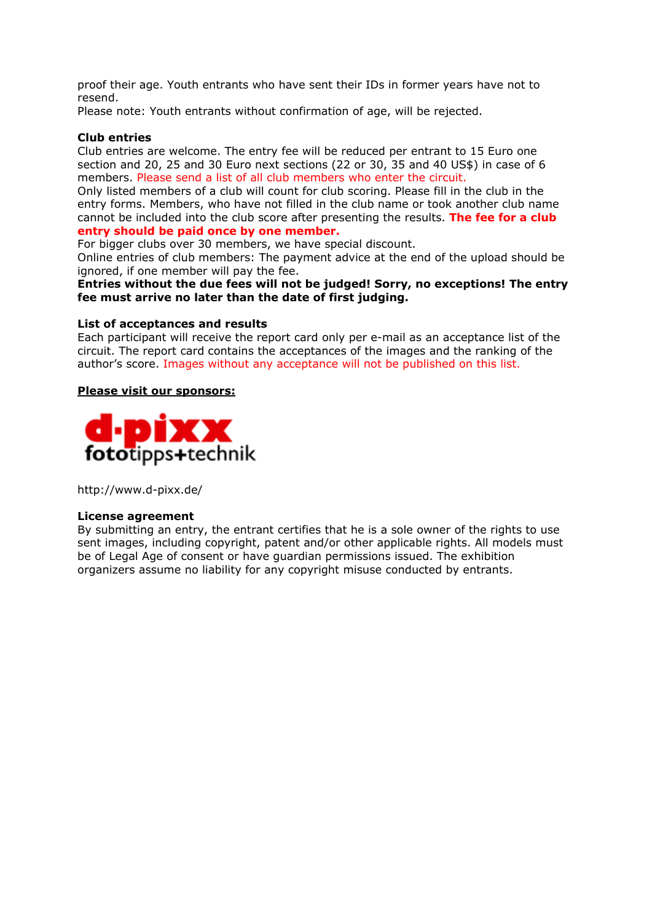proof their age. Youth entrants who have sent their IDs in former years have not to resend.

Please note: Youth entrants without confirmation of age, will be rejected.

#### **Club entries**

Club entries are welcome. The entry fee will be reduced per entrant to 15 Euro one section and 20, 25 and 30 Euro next sections (22 or 30, 35 and 40 US\$) in case of 6 members. Please send a list of all club members who enter the circuit.

Only listed members of a club will count for club scoring. Please fill in the club in the entry forms. Members, who have not filled in the club name or took another club name cannot be included into the club score after presenting the results. **The fee for a club entry should be paid once by one member.**

For bigger clubs over 30 members, we have special discount.

Online entries of club members: The payment advice at the end of the upload should be ignored, if one member will pay the fee.

#### **Entries without the due fees will not be judged! Sorry, no exceptions! The entry fee must arrive no later than the date of first judging.**

#### **List of acceptances and results**

Each participant will receive the report card only per e-mail as an acceptance list of the circuit. The report card contains the acceptances of the images and the ranking of the author's score. Images without any acceptance will not be published on this list.

#### **Please visit our sponsors:**



http://www.d-pixx.de/

#### **License agreement**

By submitting an entry, the entrant certifies that he is a sole owner of the rights to use sent images, including copyright, patent and/or other applicable rights. All models must be of Legal Age of consent or have guardian permissions issued. The exhibition organizers assume no liability for any copyright misuse conducted by entrants.